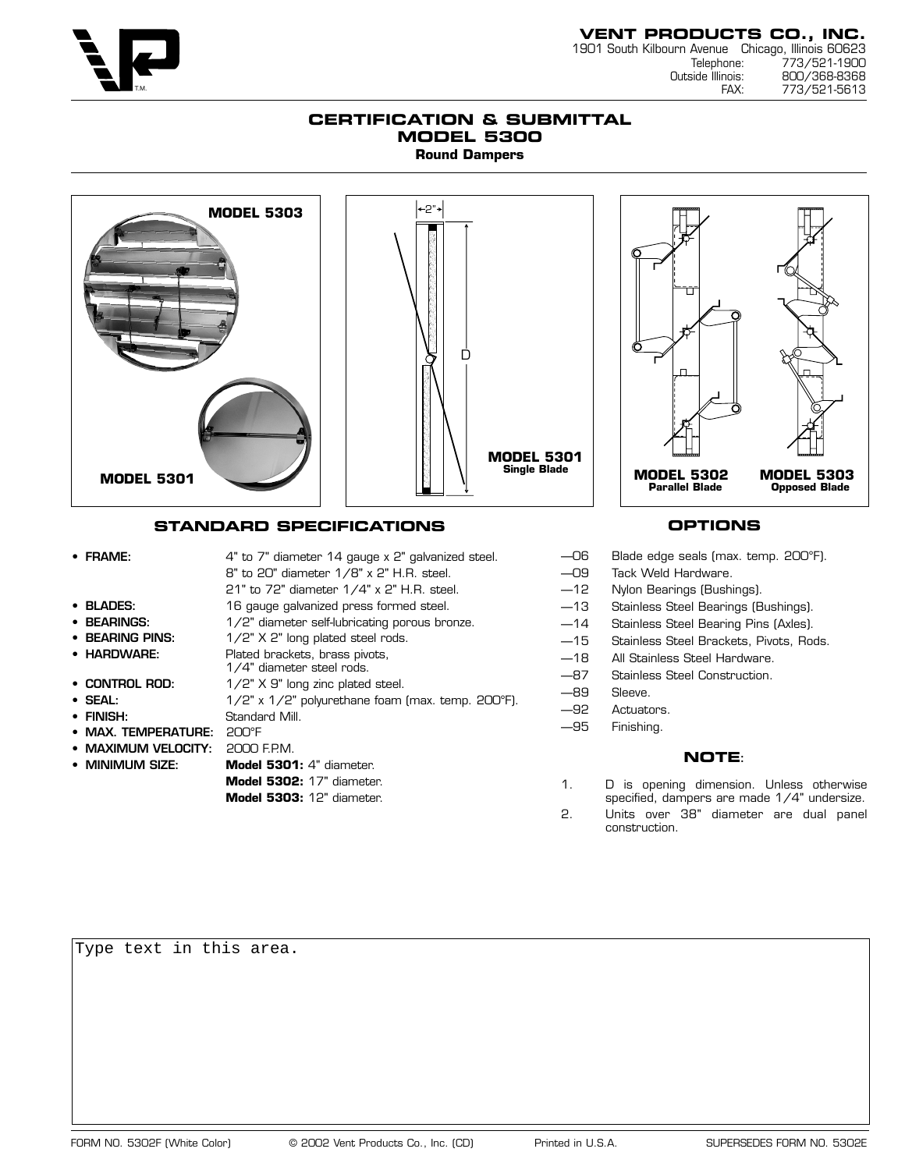

# **VENT PRODUCTS CO., INC.** 1901 South Kilbourn Avenue Chicago, Illinois 60623

Telephone: 773/521-1900 Outside Illinois: 800/368-8368 773/521-5613

### **CERTIFICATION & SUBMITTAL MODEL 5300 Round Dampers**



# **STANDARD SPECIFICATIONS**

• FRAME: 4" to 7" diameter 14 gauge x 2" galvanized steel. 8" to 20" diameter 1/8" x 2" H.R. steel. 21" to 72" diameter 1/4" x 2" H.R. steel. • **BLADES:** 16 gauge galvanized press formed steel. • **BEARINGS:** 1/2" diameter self-lubricating porous bronze. • **BEARING PINS:** 1/2" X 2" long plated steel rods. • **HARDWARE:** Plated brackets, brass pivots, 1/4" diameter steel rods. • **CONTROL ROD:** 1/2" X 9" long zinc plated steel. • **SEAL:** 1/2" x 1/2" polyurethane foam (max. temp. 200°F). • **FINISH:** Standard Mill. • **MAX. TEMPERATURE:** 200°F • **MAXIMUM VELOCITY:** 2000 F.P.M. • **MINIMUM SIZE: Model 5301:** 4" diameter. **Model 5302:** 17" diameter. **Model 5303:** 12" diameter.

# **OPTIONS**

- —06 Blade edge seals (max. temp. 200°F).
- —09 Tack Weld Hardware.
- —12 Nylon Bearings (Bushings).
- —13 Stainless Steel Bearings (Bushings).
- —14 Stainless Steel Bearing Pins (Axles).
- —15 Stainless Steel Brackets, Pivots, Rods.
- —18 All Stainless Steel Hardware.
- —87 Stainless Steel Construction.
- —89 Sleeve.
- —92 Actuators.
- —95 Finishing.

#### **NOTE:**

- 1. D is opening dimension. Unless otherwise specified, dampers are made 1/4" undersize.
- 2. Units over 38" diameter are dual panel construction.

Type text in this area.